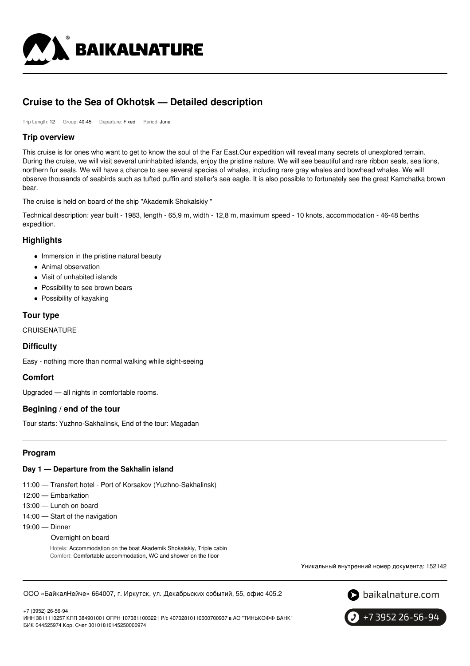

# **Cruise to the Sea of Okhotsk — Detailed description**

Trip Length: 12 Group: 40-45 Departure: Fixed Period: June

## **Trip overview**

This cruise is for ones who want to get to know the soul of the Far East.Our expedition will reveal many secrets of unexplored terrain. During the cruise, we will visit several uninhabited islands, enjoy the pristine nature. We will see beautiful and rare ribbon seals, sea lions, northern fur seals. We will have a chance to see several species of whales, including rare gray whales and bowhead whales. We will observe thousands of seabirds such as tufted puffin and steller's sea eagle. It is also possible to fortunately see the great Kamchatka brown bear.

The cruise is held on board of the ship "Akademik Shokalskiy "

Technical description: year built - 1983, length - 65,9 m, width - 12,8 m, maximum speed - 10 knots, accommodation - 46-48 berths expedition.

# **Highlights**

- Immersion in the pristine natural beauty
- Animal observation
- Visit of unhabited islands
- Possibility to see brown bears
- Possibility of kayaking

# **Tour type**

**CRUISENATURE** 

## **Difficulty**

Easy - nothing more than normal walking while sight-seeing

# **Comfort**

Upgraded — all nights in comfortable rooms.

## **Begining / end of the tour**

Tour starts: Yuzhno-Sakhalinsk, End of the tour: Magadan

## **Program**

## **Day 1 — Departure from the Sakhalin island**

- 11:00 Transfert hotel Port of Korsakov (Yuzhno-Sakhalinsk)
- 12:00 Embarkation
- 13:00 Lunch on board
- 14:00 Start of the navigation
- 19:00 Dinner
	- Overnight on board

Hotels: Accommodation on the boat Akademik Shokalskiy, Triple cabin Comfort: Comfortable accommodation, WC and shower on the floor

Уникальный внутренний номер документа: 152142





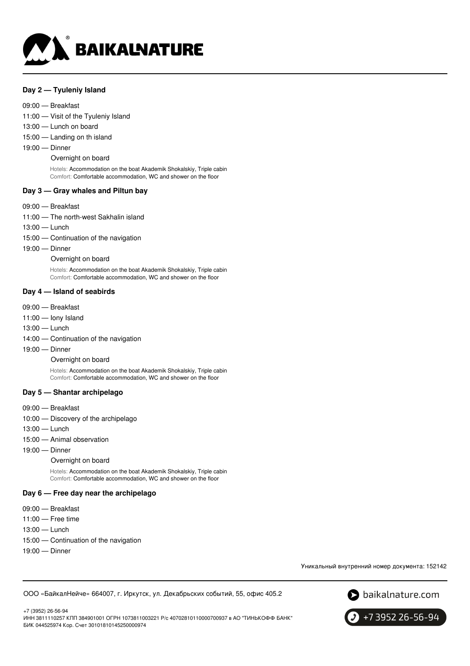

#### **Day 2 — Tyuleniy Island**

#### 09:00 — Breakfast

- 11:00 Visit of the Tyuleniy Island
- 13:00 Lunch on board
- 15:00 Landing on th island
- 19:00 Dinner

#### Overnight on board

Hotels: Accommodation on the boat Akademik Shokalskiy, Triple cabin Comfort: Comfortable accommodation, WC and shower on the floor

#### **Day 3 — Gray whales and Piltun bay**

- 09:00 Breakfast
- 11:00 The north-west Sakhalin island
- 13:00 Lunch
- 15:00 Continuation of the navigation
- 19:00 Dinner

Overnight on board

Hotels: Accommodation on the boat Akademik Shokalskiy, Triple cabin Comfort: Comfortable accommodation, WC and shower on the floor

#### **Day 4 — Island of seabirds**

- 09:00 Breakfast
- 11:00 Iony Island
- 13:00 Lunch
- 14:00 Continuation of the navigation
- 19:00 Dinner

#### Overnight on board

Hotels: Accommodation on the boat Akademik Shokalskiy, Triple cabin Comfort: Comfortable accommodation, WC and shower on the floor

#### **Day 5 — Shantar archipelago**

- 09:00 Breakfast
- 10:00 Discovery of the archipelago
- 13:00 Lunch
- 15:00 Animal observation
- 19:00 Dinner

#### Overnight on board

Hotels: Accommodation on the boat Akademik Shokalskiy, Triple cabin Comfort: Comfortable accommodation, WC and shower on the floor

#### **Day 6 — Free day near the archipelago**

- 09:00 Breakfast
- 11:00 Free time
- 13:00 Lunch
- 15:00 Continuation of the navigation
- 19:00 Dinner

Уникальный внутренний номер документа: 152142

ООО «БайкалНейче» 664007, г. Иркутск, ул. Декабрьских событий, 55, офис 405.2



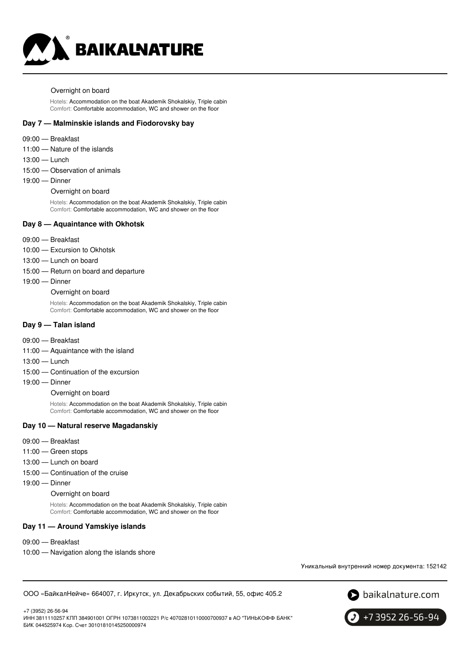

#### Overnight on board

Hotels: Accommodation on the boat Akademik Shokalskiy, Triple cabin Comfort: Comfortable accommodation, WC and shower on the floor

#### **Day 7 — Malminskie islands and Fiodorovsky bay**

- 09:00 Breakfast
- 11:00 Nature of the islands
- 13:00 Lunch
- 15:00 Observation of animals
- 19:00 Dinner

Overnight on board

Hotels: Accommodation on the boat Akademik Shokalskiy, Triple cabin Comfort: Comfortable accommodation, WC and shower on the floor

#### **Day 8 — Aquaintance with Okhotsk**

- 09:00 Breakfast
- 10:00 Excursion to Okhotsk
- 13:00 Lunch on board
- 15:00 Return on board and departure
- 19:00 Dinner

Overnight on board

Hotels: Accommodation on the boat Akademik Shokalskiy, Triple cabin Comfort: Comfortable accommodation, WC and shower on the floor

#### **Day 9 — Talan island**

- 09:00 Breakfast
- 11:00 Aquaintance with the island
- 13:00 Lunch
- 15:00 Continuation of the excursion
- 19:00 Dinner

Overnight on board

Hotels: Accommodation on the boat Akademik Shokalskiy, Triple cabin Comfort: Comfortable accommodation, WC and shower on the floor

#### **Day 10 — Natural reserve Magadanskiy**

- 09:00 Breakfast
- 11:00 Green stops
- 13:00 Lunch on board
- 15:00 Continuation of the cruise
- 19:00 Dinner

Overnight on board

Hotels: Accommodation on the boat Akademik Shokalskiy, Triple cabin Comfort: Comfortable accommodation, WC and shower on the floor

#### **Day 11 — Around Yamskiye islands**

- 09:00 Breakfast
- 10:00 Navigation along the islands shore

Уникальный внутренний номер документа: 152142

ООО «БайкалНейче» 664007, г. Иркутск, ул. Декабрьских событий, 55, офис 405.2



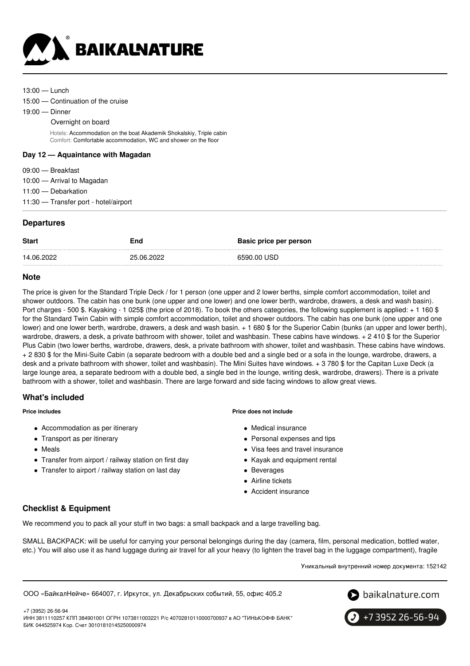

- 13:00 Lunch
- 15:00 Continuation of the cruise
- 19:00 Dinner
	- Overnight on board

Hotels: Accommodation on the boat Akademik Shokalskiy, Triple cabin Comfort: Comfortable accommodation, WC and shower on the floor

#### **Day 12 — Aquaintance with Magadan**

- 09:00 Breakfast
- 10:00 Arrival to Magadan
- 11:00 Debarkation
- 11:30 Transfer port hotel/airport

# **Departures**

| <b>Start</b> | End        | Basic price per person |
|--------------|------------|------------------------|
| 14.06.2022   | 25.06.2022 | 6590.00 USD            |

## **Note**

The price is given for the Standard Triple Deck / for 1 person (one upper and 2 lower berths, simple comfort accommodation, toilet and shower outdoors. The cabin has one bunk (one upper and one lower) and one lower berth, wardrobe, drawers, a desk and wash basin). Port charges - 500 \$. Kayaking - 1 025\$ (the price of 2018). To book the others categories, the following supplement is applied: + 1 160 \$ for the Standard Twin Cabin with simple comfort accommodation, toilet and shower outdoors. The cabin has one bunk (one upper and one lower) and one lower berth, wardrobe, drawers, a desk and wash basin. + 1 680 \$ for the Superior Cabin (bunks (an upper and lower berth), wardrobe, drawers, a desk, a private bathroom with shower, toilet and washbasin. These cabins have windows. + 2 410 \$ for the Superior Plus Cabin (two lower berths, wardrobe, drawers, desk, a private bathroom with shower, toilet and washbasin. These cabins have windows. + 2 830 \$ for the Mini-Suite Cabin (a separate bedroom with a double bed and a single bed or a sofa in the lounge, wardrobe, drawers, a desk and a private bathroom with shower, toilet and washbasin). The Mini Suites have windows. + 3 780 \$ for the Capitan Luxe Deck (a large lounge area, a separate bedroom with a double bed, a single bed in the lounge, writing desk, wardrobe, drawers). There is a private bathroom with a shower, toilet and washbasin. There are large forward and side facing windows to allow great views.

## **What's included**

**Price includes**

- Accommodation as per itinerary
- Transport as per itinerary
- Meals
- Transfer from airport / railway station on first day
- Transfer to airport / railway station on last day

#### **Price does not include**

- Medical insurance
- Personal expenses and tips
- Visa fees and travel insurance
- Kayak and equipment rental
- Beverages
- Airline tickets
- **Accident insurance**

# **Checklist & Equipment**

We recommend you to pack all your stuff in two bags: a small backpack and a large travelling bag.

SMALL BACKPACK: will be useful for carrying your personal belongings during the day (camera, film, personal medication, bottled water, etc.) You will also use it as hand luggage during air travel for all your heavy (to lighten the travel bag in the luggage compartment), fragile

Уникальный внутренний номер документа: 152142

ООО «БайкалНейче» 664007, г. Иркутск, ул. Декабрьских событий, 55, офис 405.2

 $\bullet$  baikalnature.com



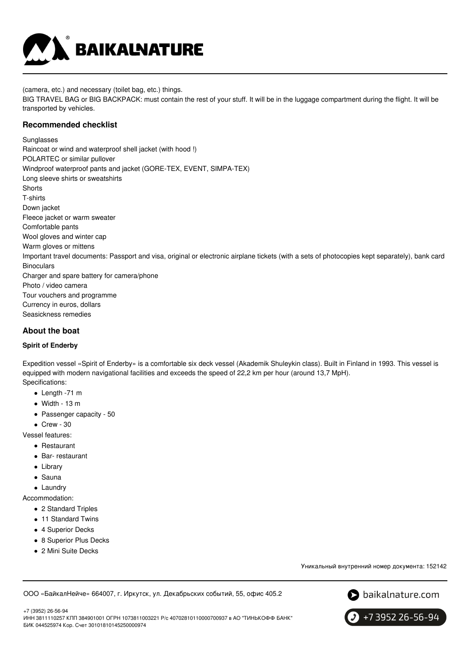

(camera, etc.) and necessary (toilet bag, etc.) things.

BIG TRAVEL BAG or BIG BACKPACK: must contain the rest of your stuff. It will be in the luggage compartment during the flight. It will be transported by vehicles.

## **Recommended checklist**

Sunglasses Raincoat or wind and waterproof shell jacket (with hood !) POLARTEC or similar pullover Windproof waterproof pants and jacket (GORE-TEX, EVENT, SIMPA-TEX) Long sleeve shirts or sweatshirts **Shorts** T-shirts Down jacket Fleece jacket or warm sweater Comfortable pants Wool gloves and winter cap Warm gloves or mittens Important travel documents: Passport and visa, original or electronic airplane tickets (with a sets of photocopies kept separately), bank card **Binoculars** Charger and spare battery for camera/phone Photo / video camera Tour vouchers and programme Currency in euros, dollars Seasickness remedies

# **About the boat**

#### **Spirit of Enderby**

Expedition vessel «Spirit of Enderby» is a comfortable six deck vessel (Akademik Shuleykin class). Built in Finland in 1993. This vessel is equipped with modern navigational facilities and exceeds the speed of 22,2 km per hour (around 13,7 MpH). Specifications:

- Length -71 m
- $\bullet$  Width 13 m
- Passenger capacity 50
- $\bullet$  Crew 30

Vessel features:

- Restaurant
- Bar- restaurant
- Library
- Sauna
- Laundrv

Accommodation:

- 2 Standard Triples
- 11 Standard Twins
- 4 Superior Decks
- 8 Superior Plus Decks
- 2 Mini Suite Decks

Уникальный внутренний номер документа: 152142

ООО «БайкалНейче» 664007, г. Иркутск, ул. Декабрьских событий, 55, офис 405.2



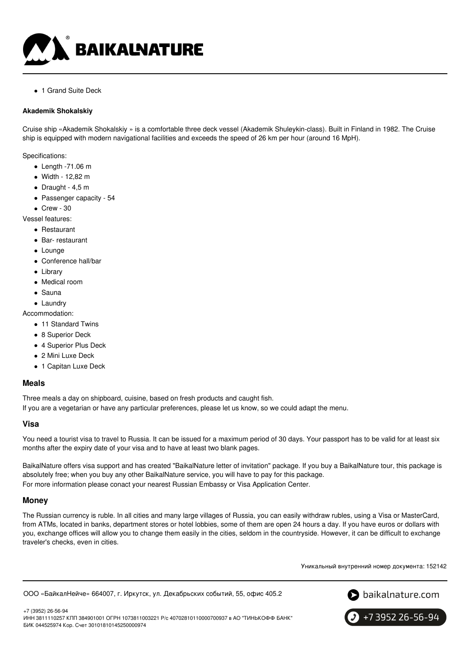

• 1 Grand Suite Deck

#### **Akademik Shokalskiy**

Cruise ship «Akademik Shokalskiy » is a comfortable three deck vessel (Akademik Shuleykin-class). Built in Finland in 1982. The Cruise ship is equipped with modern navigational facilities and exceeds the speed of 26 km per hour (around 16 MpH).

Specifications:

- $\bullet$  Length -71.06 m
- Width 12,82 m
- $\bullet$  Draught 4,5 m
- Passenger capacity 54
- $\bullet$  Crew 30
- Vessel features:
	- Restaurant
	- Bar- restaurant
	- Lounge
	- Conference hall/bar
	- Library
	- Medical room
	- Sauna
	- Laundrv

Accommodation:

- 11 Standard Twins
- 8 Superior Deck
- 4 Superior Plus Deck
- 2 Mini Luxe Deck
- 1 Capitan Luxe Deck

## **Meals**

Three meals a day on shipboard, cuisine, based on fresh products and caught fish. If you are a vegetarian or have any particular preferences, please let us know, so we could adapt the menu.

#### **Visa**

You need a tourist visa to travel to Russia. It can be issued for a maximum period of 30 days. Your passport has to be valid for at least six months after the expiry date of your visa and to have at least two blank pages.

BaikalNature offers visa support and has created "BaikalNature letter of invitation" package. If you buy a BaikalNature tour, this package is absolutely free; when you buy any other BaikalNature service, you will have to pay for this package. For more information please conact your nearest Russian Embassy or Visa Application Center.

## **Money**

The Russian currency is ruble. In all cities and many large villages of Russia, you can easily withdraw rubles, using a Visa or MasterCard, from ATMs, located in banks, department stores or hotel lobbies, some of them are open 24 hours a day. If you have euros or dollars with you, exchange offices will allow you to change them easily in the cities, seldom in the countryside. However, it can be difficult to exchange traveler's checks, even in cities.

Уникальный внутренний номер документа: 152142